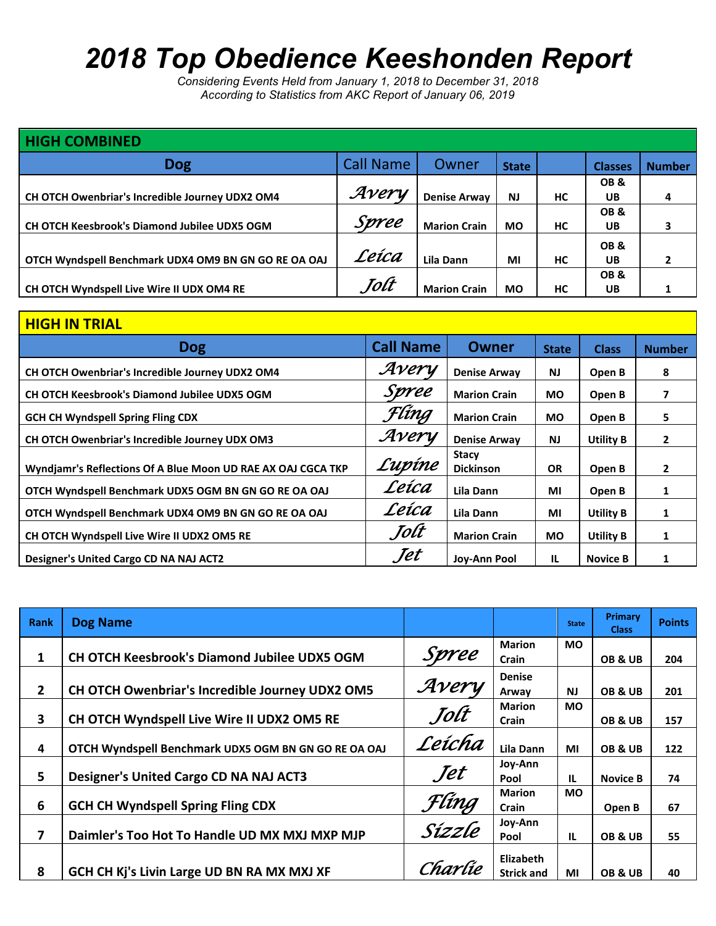# *2018 Top Obedience Keeshonden Report*

*Considering Events Held from January 1, 2018 to December 31, 2018 According to Statistics from AKC Report of January 06, 2019*

| <b>HIGH COMBINED</b>                                 |                  |                     |              |    |                |               |  |  |
|------------------------------------------------------|------------------|---------------------|--------------|----|----------------|---------------|--|--|
| <b>Dog</b>                                           | <b>Call Name</b> | Owner               | <b>State</b> |    | <b>Classes</b> | <b>Number</b> |  |  |
|                                                      |                  |                     |              |    | OB&            |               |  |  |
| CH OTCH Owenbriar's Incredible Journey UDX2 OM4      | Avery            | <b>Denise Arway</b> | <b>NJ</b>    | НC | <b>UB</b>      | 4             |  |  |
|                                                      |                  |                     |              |    | OB&            |               |  |  |
| <b>CH OTCH Keesbrook's Diamond Jubilee UDX5 OGM</b>  | Spree            | <b>Marion Crain</b> | <b>MO</b>    | HC | UB             |               |  |  |
|                                                      |                  |                     |              |    | OB&            |               |  |  |
| OTCH Wyndspell Benchmark UDX4 OM9 BN GN GO RE OA OAJ | Leíca            | Lila Dann           | MI           | НC | <b>UB</b>      |               |  |  |
|                                                      |                  |                     |              |    | OB&            |               |  |  |
| CH OTCH Wyndspell Live Wire II UDX OM4 RE            | Tolt             | <b>Marion Crain</b> | <b>MO</b>    | HC | UB             |               |  |  |

| <b>HIGH IN TRIAL</b>                                         |                  |                                  |              |                  |               |
|--------------------------------------------------------------|------------------|----------------------------------|--------------|------------------|---------------|
| <b>Dog</b>                                                   | <b>Call Name</b> | <b>Owner</b>                     | <b>State</b> | <b>Class</b>     | <b>Number</b> |
| CH OTCH Owenbriar's Incredible Journey UDX2 OM4              | Avery            | <b>Denise Arway</b>              | <b>NJ</b>    | Open B           | 8             |
| <b>CH OTCH Keesbrook's Diamond Jubilee UDX5 OGM</b>          | Spree            | <b>Marion Crain</b>              | <b>MO</b>    | Open B           | 7             |
| <b>GCH CH Wyndspell Spring Fling CDX</b>                     | Flíng            | <b>Marion Crain</b>              | <b>MO</b>    | Open B           | 5             |
| CH OTCH Owenbriar's Incredible Journey UDX OM3               | Avery            | <b>Denise Arway</b>              | <b>NJ</b>    | <b>Utility B</b> | $\mathbf{2}$  |
| Wyndjamr's Reflections Of A Blue Moon UD RAE AX OAJ CGCA TKP | Lupíne           | <b>Stacy</b><br><b>Dickinson</b> | <b>OR</b>    | Open B           | $\mathbf{2}$  |
| OTCH Wyndspell Benchmark UDX5 OGM BN GN GO RE OA OAJ         | Leíca            | Lila Dann                        | MI           | Open B           | 1             |
| OTCH Wyndspell Benchmark UDX4 OM9 BN GN GO RE OA OAJ         | Leíca            | Lila Dann                        | MI           | <b>Utility B</b> | 1             |
| <b>CH OTCH Wyndspell Live Wire II UDX2 OM5 RE</b>            | Jolt             | <b>Marion Crain</b>              | <b>MO</b>    | <b>Utility B</b> | 1             |
| Designer's United Cargo CD NA NAJ ACT2                       | Jet              | Joy-Ann Pool                     | IL.          | <b>Novice B</b>  | 1             |

| Rank           | <b>Dog Name</b>                                      |                 |                                       | <b>State</b> | Primary<br><b>Class</b> | <b>Points</b> |
|----------------|------------------------------------------------------|-----------------|---------------------------------------|--------------|-------------------------|---------------|
| 1              | CH OTCH Keesbrook's Diamond Jubilee UDX5 OGM         | Spree           | <b>Marion</b><br><b>Crain</b>         | <b>MO</b>    | OB & UB                 | 204           |
| $\overline{2}$ | CH OTCH Owenbriar's Incredible Journey UDX2 OM5      | Avery           | <b>Denise</b><br>Arway                | <b>NJ</b>    | OB & UB                 | 201           |
| 3              | CH OTCH Wyndspell Live Wire II UDX2 OM5 RE           | Jolt            | <b>Marion</b><br>Crain                | <b>MO</b>    | OB & UB                 | 157           |
| 4              | OTCH Wyndspell Benchmark UDX5 OGM BN GN GO RE OA OAJ | Leícha          | Lila Dann                             | MI           | OB & UB                 | 122           |
| 5              | <b>Designer's United Cargo CD NA NAJ ACT3</b>        | Jet             | Joy-Ann<br>Pool                       | <b>IL</b>    | <b>Novice B</b>         | 74            |
| 6              | <b>GCH CH Wyndspell Spring Fling CDX</b>             | Flíng<br>Sízzle | <b>Marion</b><br><b>Crain</b>         | <b>MO</b>    | Open B                  | 67            |
| 7              | Daimler's Too Hot To Handle UD MX MXJ MXP MJP        |                 | Joy-Ann<br>Pool                       | <b>IL</b>    | OB&UB                   | 55            |
| 8              | GCH CH Kj's Livin Large UD BN RA MX MXJ XF           | Charlie         | <b>Elizabeth</b><br><b>Strick and</b> | ΜI           | OB & UB                 | 40            |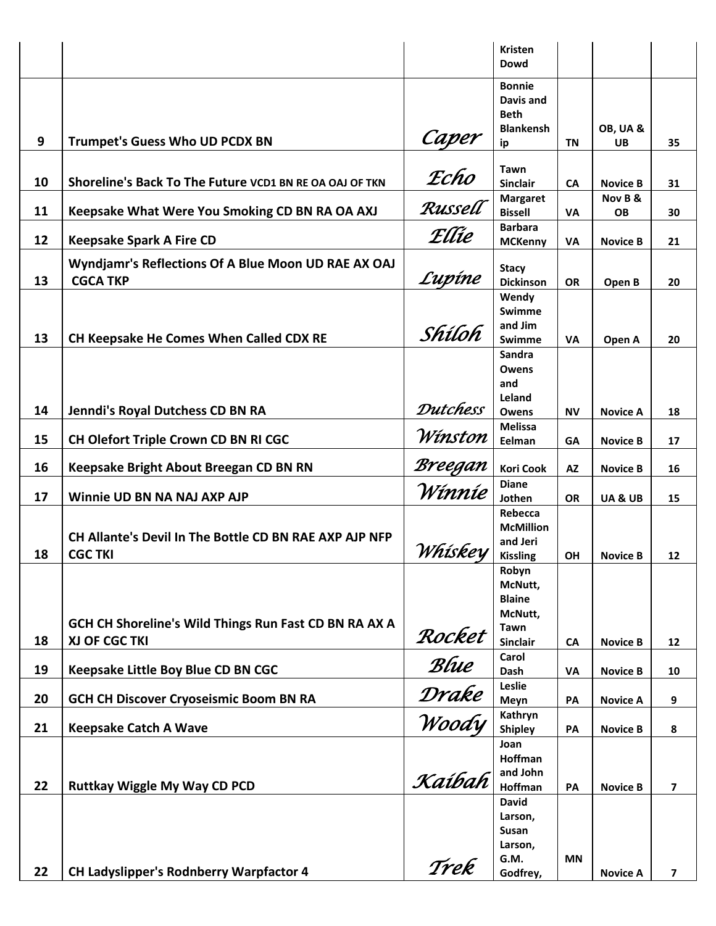|    |                                                                        |          | <b>Kristen</b><br>Dowd                                        |           |                 |                |
|----|------------------------------------------------------------------------|----------|---------------------------------------------------------------|-----------|-----------------|----------------|
|    |                                                                        |          | <b>Bonnie</b><br>Davis and<br><b>Beth</b><br><b>Blankensh</b> |           | OB, UA &        |                |
| 9  | <b>Trumpet's Guess Who UD PCDX BN</b>                                  | Caper    | ip                                                            | ΤN        | <b>UB</b>       | 35             |
| 10 | Shoreline's Back To The Future VCD1 BN RE OA OAJ OF TKN                | Echo     | <b>Tawn</b><br><b>Sinclair</b>                                |           | <b>Novice B</b> |                |
|    |                                                                        |          | <b>Margaret</b>                                               | <b>CA</b> | Nov B &         | 31             |
| 11 | Keepsake What Were You Smoking CD BN RA OA AXJ                         | Russell  | <b>Bissell</b>                                                | <b>VA</b> | <b>OB</b>       | 30             |
| 12 | <b>Keepsake Spark A Fire CD</b>                                        | Ellie    | <b>Barbara</b><br><b>MCKenny</b>                              | <b>VA</b> | <b>Novice B</b> | 21             |
| 13 | Wyndjamr's Reflections Of A Blue Moon UD RAE AX OAJ<br><b>CGCA TKP</b> | Lupíne   | <b>Stacy</b><br><b>Dickinson</b>                              | <b>OR</b> | Open B          | 20             |
| 13 | CH Keepsake He Comes When Called CDX RE                                | Shíloh   | Wendy<br><b>Swimme</b><br>and Jim<br>Swimme                   | <b>VA</b> | Open A          | 20             |
|    |                                                                        |          | Sandra<br>Owens<br>and<br>Leland                              |           |                 |                |
| 14 | Jenndi's Royal Dutchess CD BN RA                                       | Dutchess | <b>Owens</b>                                                  | <b>NV</b> | <b>Novice A</b> | 18             |
| 15 | CH Olefort Triple Crown CD BN RI CGC                                   | Winston  | <b>Melissa</b><br>Eelman                                      | <b>GA</b> | <b>Novice B</b> | 17             |
| 16 | Keepsake Bright About Breegan CD BN RN                                 | Breegan  | <b>Kori Cook</b>                                              | <b>AZ</b> | <b>Novice B</b> | 16             |
|    |                                                                        | Winnie   | <b>Diane</b>                                                  |           |                 |                |
| 17 | Winnie UD BN NA NAJ AXP AJP                                            |          | Jothen                                                        | <b>OR</b> | UA&UB           | 15             |
|    |                                                                        |          | Rebecca<br><b>McMillion</b>                                   |           |                 |                |
|    | CH Allante's Devil In The Bottle CD BN RAE AXP AJP NFP                 |          | and Jeri                                                      |           |                 |                |
| 18 | <b>CGC TKI</b>                                                         | Whiskey  | <b>Kissling</b>                                               | OH        | <b>Novice B</b> | 12             |
|    |                                                                        |          | Robyn<br>McNutt,<br><b>Blaine</b>                             |           |                 |                |
|    | GCH CH Shoreline's Wild Things Run Fast CD BN RA AX A                  |          | McNutt,                                                       |           |                 |                |
| 18 | XJ OF CGC TKI                                                          | Rocket   | Tawn<br><b>Sinclair</b>                                       |           | <b>Novice B</b> |                |
|    |                                                                        |          | Carol                                                         | <b>CA</b> |                 | 12             |
| 19 | Keepsake Little Boy Blue CD BN CGC                                     | Blue     | Dash                                                          | VA        | <b>Novice B</b> | 10             |
| 20 | <b>GCH CH Discover Cryoseismic Boom BN RA</b>                          | Drake    | Leslie<br>Meyn                                                | PA        | <b>Novice A</b> | 9              |
| 21 | <b>Keepsake Catch A Wave</b>                                           | Woody    | Kathryn<br><b>Shipley</b>                                     | PA        | <b>Novice B</b> | 8              |
|    |                                                                        |          | Joan                                                          |           |                 |                |
|    |                                                                        |          | Hoffman                                                       |           |                 |                |
| 22 | <b>Ruttkay Wiggle My Way CD PCD</b>                                    | Kaíbah   | and John<br><b>Hoffman</b>                                    | PA        | <b>Novice B</b> | 7              |
|    |                                                                        |          | <b>David</b>                                                  |           |                 |                |
|    |                                                                        |          | Larson,                                                       |           |                 |                |
|    |                                                                        |          | Susan                                                         |           |                 |                |
|    |                                                                        |          | Larson,<br>G.M.                                               | <b>MN</b> |                 |                |
| 22 | CH Ladyslipper's Rodnberry Warpfactor 4                                | Trek     | Godfrey,                                                      |           | <b>Novice A</b> | $\overline{ }$ |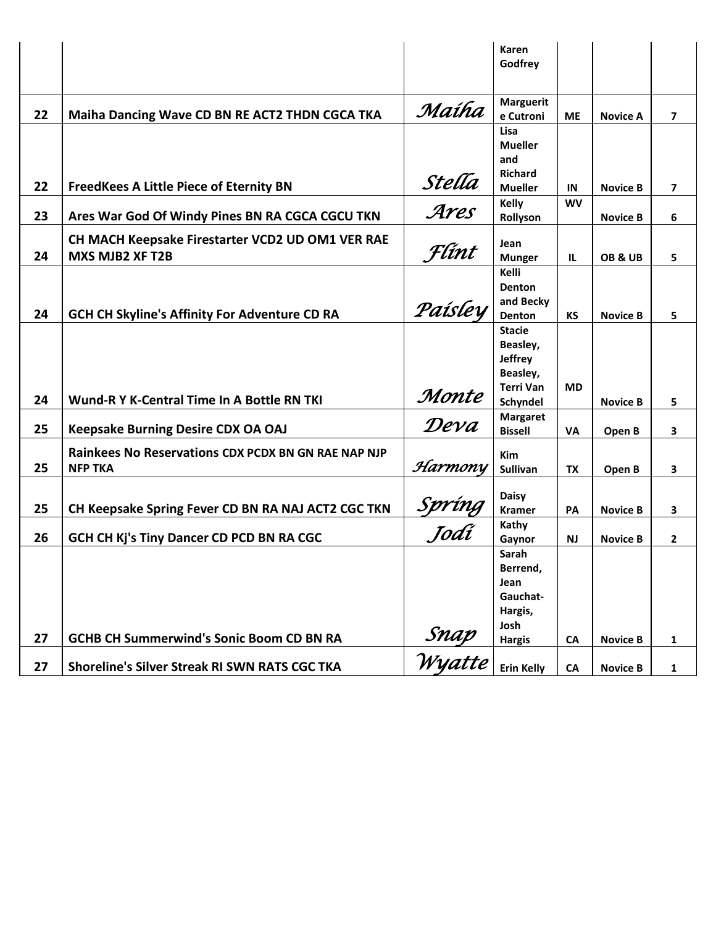|    |                                                      |                       | Karen<br>Godfrey              |           |                 |                |
|----|------------------------------------------------------|-----------------------|-------------------------------|-----------|-----------------|----------------|
|    |                                                      |                       |                               |           |                 |                |
| 22 | Maiha Dancing Wave CD BN RE ACT2 THDN CGCA TKA       | Maíha                 | <b>Marguerit</b><br>e Cutroni | <b>ME</b> | <b>Novice A</b> | $\overline{ }$ |
|    |                                                      |                       | Lisa                          |           |                 |                |
|    |                                                      |                       | <b>Mueller</b>                |           |                 |                |
|    |                                                      |                       | and<br><b>Richard</b>         |           |                 |                |
| 22 | <b>FreedKees A Little Piece of Eternity BN</b>       | Stella                | <b>Mueller</b>                | IN        | <b>Novice B</b> | $\overline{ }$ |
|    |                                                      |                       | Kelly                         | <b>WV</b> |                 |                |
| 23 | Ares War God Of Windy Pines BN RA CGCA CGCU TKN      | Ares                  | Rollyson                      |           | <b>Novice B</b> | 6              |
|    | CH MACH Keepsake Firestarter VCD2 UD OM1 VER RAE     |                       |                               |           |                 |                |
| 24 | MXS MJB2 XF T2B                                      | Flint                 | Jean<br><b>Munger</b>         | IL.       | OB&UB           | 5              |
|    |                                                      |                       | Kelli                         |           |                 |                |
|    |                                                      |                       | <b>Denton</b>                 |           |                 |                |
|    |                                                      | Paísley               | and Becky                     |           |                 |                |
| 24 | <b>GCH CH Skyline's Affinity For Adventure CD RA</b> |                       | Denton                        | КS        | <b>Novice B</b> | 5              |
|    |                                                      |                       | <b>Stacie</b>                 |           |                 |                |
|    |                                                      |                       | Beasley,<br><b>Jeffrey</b>    |           |                 |                |
|    |                                                      |                       | Beasley,                      |           |                 |                |
|    |                                                      |                       | <b>Terri Van</b>              | <b>MD</b> |                 |                |
| 24 | <b>Wund-R Y K-Central Time In A Bottle RN TKI</b>    | Monte                 | Schyndel                      |           | <b>Novice B</b> | 5              |
|    |                                                      | Deva                  | <b>Margaret</b>               |           |                 |                |
| 25 | <b>Keepsake Burning Desire CDX OA OAJ</b>            |                       | <b>Bissell</b>                | <b>VA</b> | Open B          | 3              |
|    | Rainkees No Reservations CDX PCDX BN GN RAE NAP NJP  |                       | <b>Kim</b>                    |           |                 |                |
| 25 | <b>NFP TKA</b>                                       | Harmony               | Sullivan                      | <b>TX</b> | Open B          | 3              |
|    |                                                      |                       |                               |           |                 |                |
| 25 | CH Keepsake Spring Fever CD BN RA NAJ ACT2 CGC TKN   |                       | <b>Daisy</b><br><b>Kramer</b> | PA        | <b>Novice B</b> |                |
|    |                                                      | <u>Spríng</u><br>Jodí | Kathy                         |           |                 | 3              |
| 26 | GCH CH Kj's Tiny Dancer CD PCD BN RA CGC             |                       | Gaynor                        | NJ.       | <b>Novice B</b> | $\mathbf{2}$   |
|    |                                                      |                       | Sarah                         |           |                 |                |
|    |                                                      |                       | Berrend,                      |           |                 |                |
|    |                                                      |                       | Jean                          |           |                 |                |
|    |                                                      |                       | Gauchat-<br>Hargis,           |           |                 |                |
|    |                                                      |                       | Josh                          |           |                 |                |
| 27 | <b>GCHB CH Summerwind's Sonic Boom CD BN RA</b>      |                       | <b>Hargis</b>                 | <b>CA</b> | <b>Novice B</b> | 1              |
| 27 | Shoreline's Silver Streak RI SWN RATS CGC TKA        | Snap<br>Wyatte        | <b>Erin Kelly</b>             | <b>CA</b> | <b>Novice B</b> | 1              |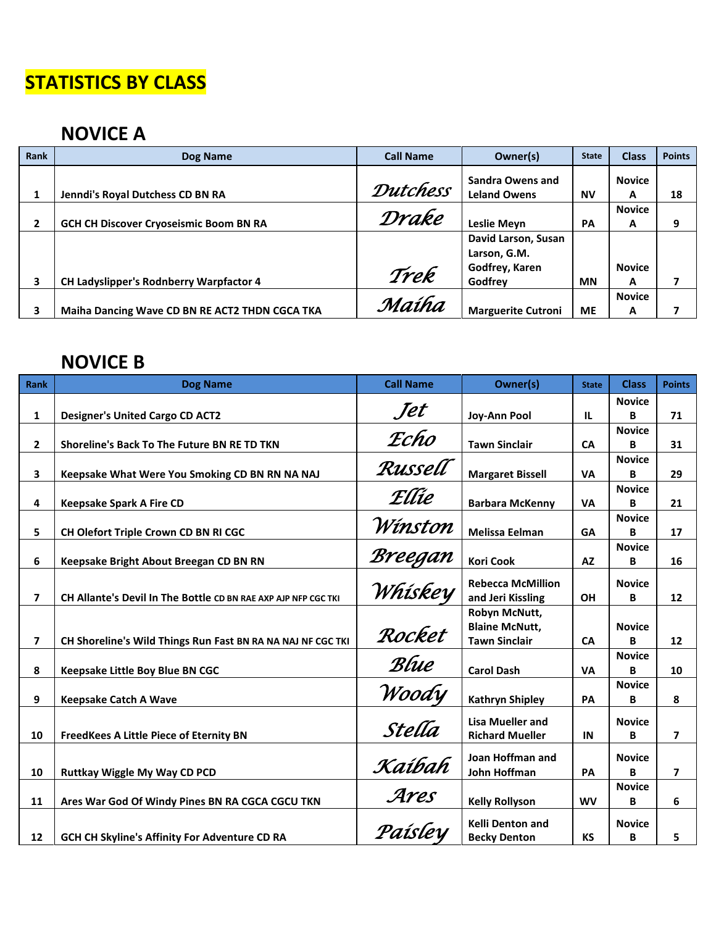## **STATISTICS BY CLASS**

## **NOVICE A**

| Rank         | Dog Name                                       | <b>Call Name</b> | Owner(s)                                              | <b>State</b> | <b>Class</b>       | <b>Points</b> |
|--------------|------------------------------------------------|------------------|-------------------------------------------------------|--------------|--------------------|---------------|
|              | Jenndi's Royal Dutchess CD BN RA               | <b>Dutchess</b>  | <b>Sandra Owens and</b><br><b>Leland Owens</b>        | <b>NV</b>    | <b>Novice</b><br>A | 18            |
| $\mathbf{2}$ | <b>GCH CH Discover Cryoseismic Boom BN RA</b>  | Drake            | <b>Leslie Meyn</b>                                    | PA           | <b>Novice</b><br>A | 9             |
|              |                                                | Trek             | David Larson, Susan<br>Larson, G.M.<br>Godfrey, Karen |              | <b>Novice</b>      |               |
| 3            | <b>CH Ladyslipper's Rodnberry Warpfactor 4</b> |                  | Godfrey                                               | <b>MN</b>    | A                  |               |
| 3            | Maiha Dancing Wave CD BN RE ACT2 THDN CGCA TKA | Maíha            | <b>Marguerite Cutroni</b>                             | <b>ME</b>    | <b>Novice</b><br>A |               |

#### **NOVICE B**

| Rank           | <b>Dog Name</b>                                                | <b>Call Name</b> | Owner(s)                                      | <b>State</b> | <b>Class</b>       | <b>Points</b>     |
|----------------|----------------------------------------------------------------|------------------|-----------------------------------------------|--------------|--------------------|-------------------|
|                |                                                                |                  |                                               |              | <b>Novice</b>      |                   |
| $\mathbf{1}$   | <b>Designer's United Cargo CD ACT2</b>                         | Jet              | Joy-Ann Pool                                  | IL.          | в                  | 71                |
|                |                                                                | Echo             |                                               |              | <b>Novice</b>      |                   |
| $\overline{2}$ | <b>Shoreline's Back To The Future BN RE TD TKN</b>             |                  | <b>Tawn Sinclair</b>                          | <b>CA</b>    | В                  | 31                |
|                |                                                                | Russell          |                                               |              | <b>Novice</b>      |                   |
| 3              | Keepsake What Were You Smoking CD BN RN NA NAJ                 |                  | <b>Margaret Bissell</b>                       | <b>VA</b>    | В                  | 29                |
| 4              | <b>Keepsake Spark A Fire CD</b>                                | Ellie            | <b>Barbara McKenny</b>                        | <b>VA</b>    | <b>Novice</b><br>В | 21                |
|                |                                                                |                  |                                               |              | <b>Novice</b>      |                   |
| 5              | CH Olefort Triple Crown CD BN RI CGC                           | Winston          | <b>Melissa Eelman</b>                         | <b>GA</b>    | В                  | 17                |
|                |                                                                |                  |                                               |              | <b>Novice</b>      |                   |
| 6              | Keepsake Bright About Breegan CD BN RN                         | Breegan          | <b>Kori Cook</b>                              | <b>AZ</b>    | В                  | 16                |
|                |                                                                |                  |                                               |              |                    |                   |
| $\overline{ }$ | CH Allante's Devil In The Bottle CD BN RAE AXP AJP NFP CGC TKI | Whiskey          | <b>Rebecca McMillion</b><br>and Jeri Kissling | <b>OH</b>    | <b>Novice</b><br>В | $12 \overline{ }$ |
|                |                                                                |                  | Robyn McNutt,                                 |              |                    |                   |
|                |                                                                |                  | <b>Blaine McNutt,</b>                         |              | <b>Novice</b>      |                   |
| $\overline{ }$ | CH Shoreline's Wild Things Run Fast BN RA NA NAJ NF CGC TKI    | Rocket           | <b>Tawn Sinclair</b>                          | <b>CA</b>    | B                  | 12                |
|                |                                                                |                  |                                               |              | <b>Novice</b>      |                   |
| 8              | Keepsake Little Boy Blue BN CGC                                | Blue             | <b>Carol Dash</b>                             | <b>VA</b>    | R                  | 10                |
|                |                                                                |                  |                                               |              | <b>Novice</b>      |                   |
| 9              | <b>Keepsake Catch A Wave</b>                                   | Woody            | <b>Kathryn Shipley</b>                        | PA           | В                  | 8                 |
|                |                                                                |                  | <b>Lisa Mueller and</b>                       |              | <b>Novice</b>      |                   |
| 10             | <b>FreedKees A Little Piece of Eternity BN</b>                 | Stella           | <b>Richard Mueller</b>                        | IN           | В                  | $\overline{7}$    |
|                |                                                                |                  |                                               |              |                    |                   |
|                |                                                                | Kaíbah           | Joan Hoffman and                              |              | <b>Novice</b>      |                   |
| 10             | Ruttkay Wiggle My Way CD PCD                                   |                  | John Hoffman                                  | PA           | B                  | 7                 |
| 11             |                                                                | Ares             | <b>Kelly Rollyson</b>                         | <b>WV</b>    | <b>Novice</b>      |                   |
|                | Ares War God Of Windy Pines BN RA CGCA CGCU TKN                |                  |                                               |              | В                  | 6                 |
|                |                                                                | Paísley          | <b>Kelli Denton and</b>                       |              | <b>Novice</b>      |                   |
| 12             | GCH CH Skyline's Affinity For Adventure CD RA                  |                  | <b>Becky Denton</b>                           | <b>KS</b>    | В                  | 5                 |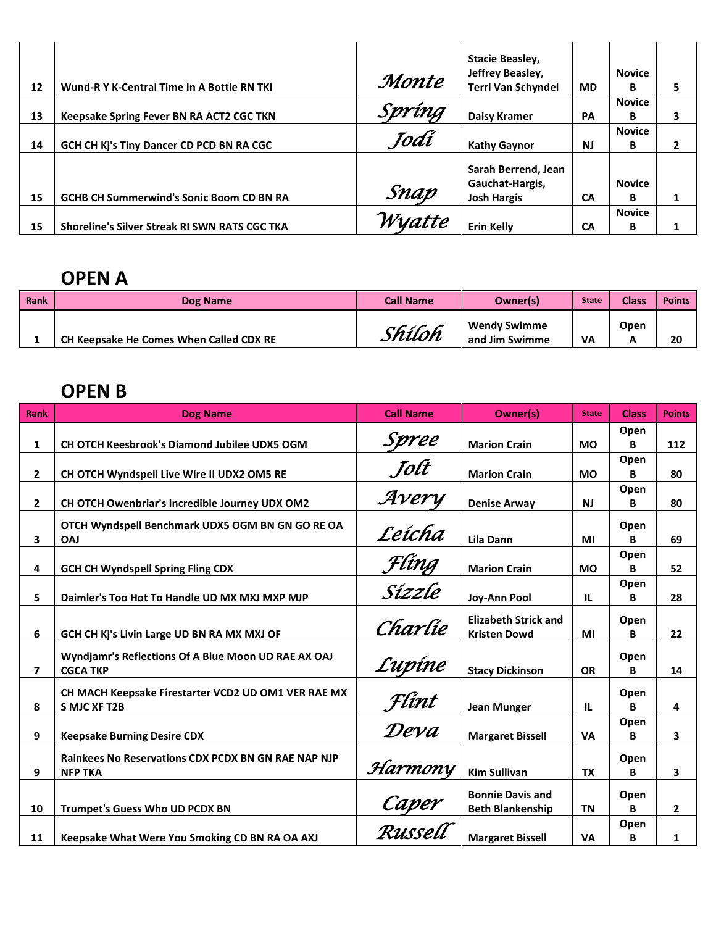| 12 | Wund-R Y K-Central Time In A Bottle RN TKI      | Monte  | Stacie Beasley,<br>Jeffrey Beasley,<br><b>Terri Van Schyndel</b> | MD.       | <b>Novice</b><br>B | 5 |
|----|-------------------------------------------------|--------|------------------------------------------------------------------|-----------|--------------------|---|
| 13 | Keepsake Spring Fever BN RA ACT2 CGC TKN        | Spríng | Daisy Kramer                                                     | <b>PA</b> | <b>Novice</b><br>В |   |
| 14 | GCH CH Kj's Tiny Dancer CD PCD BN RA CGC        | Jodí   | <b>Kathy Gaynor</b>                                              | <b>NJ</b> | <b>Novice</b><br>B |   |
| 15 | <b>GCHB CH Summerwind's Sonic Boom CD BN RA</b> | Snap   | Sarah Berrend, Jean<br>Gauchat-Hargis,<br><b>Josh Hargis</b>     | CA        | <b>Novice</b><br>в |   |
| 15 | Shoreline's Silver Streak RI SWN RATS CGC TKA   | Wyatte | <b>Erin Kelly</b>                                                | СA        | <b>Novice</b><br>B |   |

#### **OPEN A**

| Rank | Dog Name                                | <b>Call Name</b> | Owner(s)                              | <b>State</b> | <b>Class</b> | <b>Points</b> |
|------|-----------------------------------------|------------------|---------------------------------------|--------------|--------------|---------------|
|      | CH Keepsake He Comes When Called CDX RE | Shíloh           | <b>Wendy Swimme</b><br>and Jim Swimme | <b>VA</b>    | Open         | 20            |

### **OPEN B**

| <b>Rank</b>    | <b>Dog Name</b>                                                              | <b>Call Name</b>        | Owner(s)                                           | <b>State</b> | <b>Class</b> | <b>Points</b>  |
|----------------|------------------------------------------------------------------------------|-------------------------|----------------------------------------------------|--------------|--------------|----------------|
| $\mathbf{1}$   | <b>CH OTCH Keesbrook's Diamond Jubilee UDX5 OGM</b>                          | Spree                   | <b>Marion Crain</b>                                | <b>MO</b>    | Open<br>В    | 112            |
| $\overline{2}$ | CH OTCH Wyndspell Live Wire II UDX2 OM5 RE                                   | Jolt                    | <b>Marion Crain</b>                                | <b>MO</b>    | Open<br>B    | 80             |
| $\overline{2}$ | CH OTCH Owenbriar's Incredible Journey UDX OM2                               | Avery                   | <b>Denise Arway</b>                                | <b>NJ</b>    | Open<br>B    | 80             |
| 3              | OTCH Wyndspell Benchmark UDX5 OGM BN GN GO RE OA<br><b>OAJ</b>               | Leícha                  | Lila Dann                                          | MI           | Open<br>B    | 69             |
| 4              | <b>GCH CH Wyndspell Spring Fling CDX</b>                                     | Flíng                   | <b>Marion Crain</b>                                | <b>MO</b>    | Open<br>R    | 52             |
| 5              | Daimler's Too Hot To Handle UD MX MXJ MXP MJP                                | Sízzle                  | Joy-Ann Pool                                       | IL.          | Open<br>B    | 28             |
| 6              | GCH CH Kj's Livin Large UD BN RA MX MXJ OF                                   | Charlie                 | <b>Elizabeth Strick and</b><br><b>Kristen Dowd</b> | MI           | Open<br>B    | 22             |
| 7              | Wyndjamr's Reflections Of A Blue Moon UD RAE AX OAJ<br><b>CGCA TKP</b>       | Lupine                  | <b>Stacy Dickinson</b>                             | <b>OR</b>    | Open<br>В    | 14             |
| 8              | CH MACH Keepsake Firestarter VCD2 UD OM1 VER RAE MX<br><b>S MJC XF T2B</b>   | Flint                   | <b>Jean Munger</b>                                 | IL           | Open<br>В    | 4              |
| 9              | <b>Keepsake Burning Desire CDX</b>                                           | Deva                    | <b>Margaret Bissell</b>                            | <b>VA</b>    | Open<br>В    | 3              |
| 9              | <b>Rainkees No Reservations CDX PCDX BN GN RAE NAP NJP</b><br><b>NFP TKA</b> | Harmony                 | <b>Kim Sullivan</b>                                | <b>TX</b>    | Open<br>B    | 3              |
| 10             | Trumpet's Guess Who UD PCDX BN                                               | <u>Caper</u><br>Russell | <b>Bonnie Davis and</b><br><b>Beth Blankenship</b> | <b>TN</b>    | Open<br>B    | $\overline{2}$ |
| 11             | Keepsake What Were You Smoking CD BN RA OA AXJ                               |                         | <b>Margaret Bissell</b>                            | <b>VA</b>    | Open<br>В    | $\mathbf{1}$   |